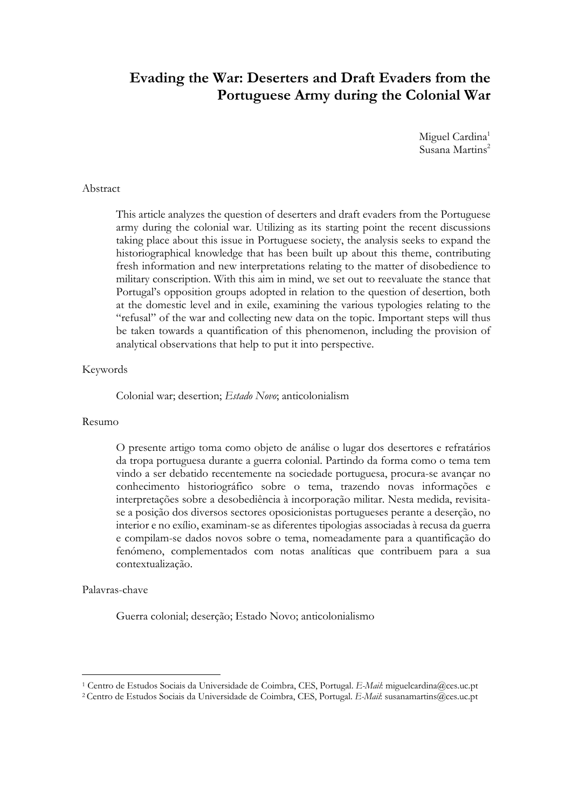# **Evading the War: Deserters and Draft Evaders from the Portuguese Army during the Colonial War**

Miguel Cardina<sup>1</sup> Susana Martins<sup>2</sup>

#### Abstract

This article analyzes the question of deserters and draft evaders from the Portuguese army during the colonial war. Utilizing as its starting point the recent discussions taking place about this issue in Portuguese society, the analysis seeks to expand the historiographical knowledge that has been built up about this theme, contributing fresh information and new interpretations relating to the matter of disobedience to military conscription. With this aim in mind, we set out to reevaluate the stance that Portugal's opposition groups adopted in relation to the question of desertion, both at the domestic level and in exile, examining the various typologies relating to the "refusal" of the war and collecting new data on the topic. Important steps will thus be taken towards a quantification of this phenomenon, including the provision of analytical observations that help to put it into perspective.

#### Keywords

Colonial war; desertion; *Estado Novo*; anticolonialism

#### Resumo

O presente artigo toma como objeto de análise o lugar dos desertores e refratários da tropa portuguesa durante a guerra colonial. Partindo da forma como o tema tem vindo a ser debatido recentemente na sociedade portuguesa, procura-se avançar no conhecimento historiográfico sobre o tema, trazendo novas informações e interpretações sobre a desobediência à incorporação militar. Nesta medida, revisitase a posição dos diversos sectores oposicionistas portugueses perante a deserção, no interior e no exílio, examinam-se as diferentes tipologias associadas à recusa da guerra e compilam-se dados novos sobre o tema, nomeadamente para a quantificação do fenómeno, complementados com notas analíticas que contribuem para a sua contextualização.

#### Palavras-chave

<u>.</u>

Guerra colonial; deserção; Estado Novo; anticolonialismo

<sup>1</sup> Centro de Estudos Sociais da Universidade de Coimbra, CES, Portugal. *E-Mail*: miguelcardina@ces.uc.pt

<sup>2</sup> Centro de Estudos Sociais da Universidade de Coimbra, CES, Portugal. *E-Mail*: susanamartins@ces.uc.pt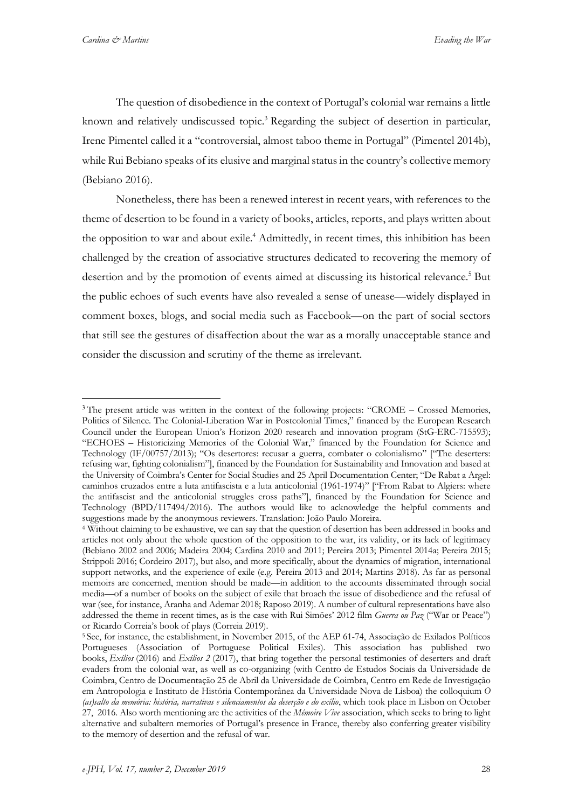<u>.</u>

The question of disobedience in the context of Portugal's colonial war remains a little known and relatively undiscussed topic.<sup>3</sup> Regarding the subject of desertion in particular, Irene Pimentel called it a "controversial, almost taboo theme in Portugal" (Pimentel 2014b), while Rui Bebiano speaks of its elusive and marginal status in the country's collective memory (Bebiano 2016).

Nonetheless, there has been a renewed interest in recent years, with references to the theme of desertion to be found in a variety of books, articles, reports, and plays written about the opposition to war and about exile. <sup>4</sup> Admittedly, in recent times, this inhibition has been challenged by the creation of associative structures dedicated to recovering the memory of desertion and by the promotion of events aimed at discussing its historical relevance. <sup>5</sup> But the public echoes of such events have also revealed a sense of unease—widely displayed in comment boxes, blogs, and social media such as Facebook—on the part of social sectors that still see the gestures of disaffection about the war as a morally unacceptable stance and consider the discussion and scrutiny of the theme as irrelevant.

<sup>&</sup>lt;sup>3</sup>The present article was written in the context of the following projects: "CROME – Crossed Memories, Politics of Silence. The Colonial-Liberation War in Postcolonial Times," financed by the European Research Council under the European Union's Horizon 2020 research and innovation program (StG-ERC-715593); "ECHOES – Historicizing Memories of the Colonial War," financed by the Foundation for Science and Technology (IF/00757/2013); "Os desertores: recusar a guerra, combater o colonialismo" ["The deserters: refusing war, fighting colonialism"], financed by the Foundation for Sustainability and Innovation and based at the University of Coimbra's Center for Social Studies and 25 April Documentation Center; "De Rabat a Argel: caminhos cruzados entre a luta antifascista e a luta anticolonial (1961-1974)" ["From Rabat to Algiers: where the antifascist and the anticolonial struggles cross paths"], financed by the Foundation for Science and Technology (BPD/117494/2016). The authors would like to acknowledge the helpful comments and suggestions made by the anonymous reviewers. Translation: João Paulo Moreira.

<sup>4</sup> Without claiming to be exhaustive, we can say that the question of desertion has been addressed in books and articles not only about the whole question of the opposition to the war, its validity, or its lack of legitimacy (Bebiano 2002 and 2006; Madeira 2004; Cardina 2010 and 2011; Pereira 2013; Pimentel 2014a; Pereira 2015; Strippoli 2016; Cordeiro 2017), but also, and more specifically, about the dynamics of migration, international support networks, and the experience of exile (e.g. Pereira 2013 and 2014; Martins 2018). As far as personal memoirs are concerned, mention should be made—in addition to the accounts disseminated through social media—of a number of books on the subject of exile that broach the issue of disobedience and the refusal of war (see, for instance, Aranha and Ademar 2018; Raposo 2019). A number of cultural representations have also addressed the theme in recent times, as is the case with Rui Simões' 2012 film *Guerra ou Paz* ("War or Peace") or Ricardo Correia's book of plays (Correia 2019).

<sup>5</sup> See, for instance, the establishment, in November 2015, of the AEP 61-74, Associação de Exilados Políticos Portugueses (Association of Portuguese Political Exiles). This association has published two books, *Exílios* (2016) and *Exílios 2* (2017), that bring together the personal testimonies of deserters and draft evaders from the colonial war, as well as co-organizing (with Centro de Estudos Sociais da Universidade de Coimbra, Centro de Documentação 25 de Abril da Universidade de Coimbra, Centro em Rede de Investigação em Antropologia e Instituto de História Contemporânea da Universidade Nova de Lisboa) the colloquium *O (as)salto da memória: história, narrativas e silenciamentos da deserção e do exílio*, which took place in Lisbon on October 27, 2016. Also worth mentioning are the activities of the *Mémoire Vive* association, which seeks to bring to light alternative and subaltern memories of Portugal's presence in France, thereby also conferring greater visibility to the memory of desertion and the refusal of war.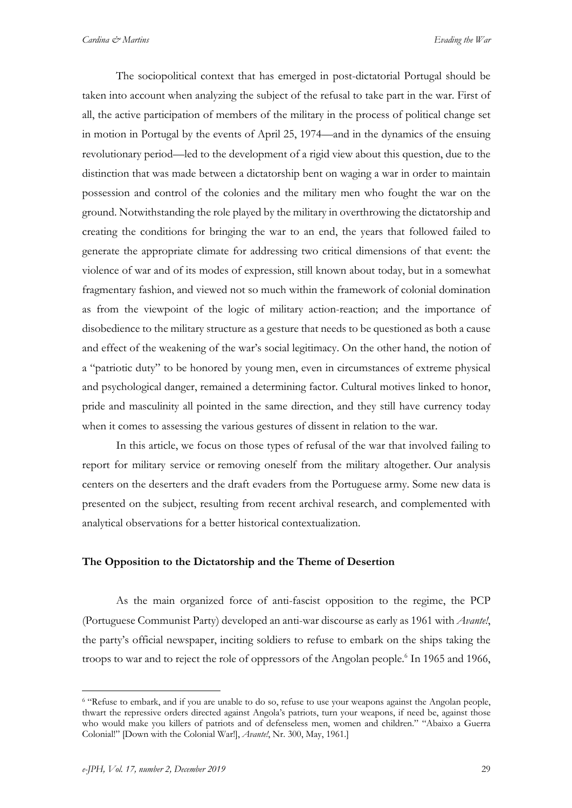The sociopolitical context that has emerged in post-dictatorial Portugal should be taken into account when analyzing the subject of the refusal to take part in the war. First of all, the active participation of members of the military in the process of political change set in motion in Portugal by the events of April 25, 1974—and in the dynamics of the ensuing revolutionary period—led to the development of a rigid view about this question, due to the distinction that was made between a dictatorship bent on waging a war in order to maintain possession and control of the colonies and the military men who fought the war on the ground. Notwithstanding the role played by the military in overthrowing the dictatorship and creating the conditions for bringing the war to an end, the years that followed failed to generate the appropriate climate for addressing two critical dimensions of that event: the violence of war and of its modes of expression, still known about today, but in a somewhat fragmentary fashion, and viewed not so much within the framework of colonial domination as from the viewpoint of the logic of military action-reaction; and the importance of disobedience to the military structure as a gesture that needs to be questioned as both a cause and effect of the weakening of the war's social legitimacy. On the other hand, the notion of a "patriotic duty" to be honored by young men, even in circumstances of extreme physical and psychological danger, remained a determining factor. Cultural motives linked to honor, pride and masculinity all pointed in the same direction, and they still have currency today when it comes to assessing the various gestures of dissent in relation to the war.

In this article, we focus on those types of refusal of the war that involved failing to report for military service or removing oneself from the military altogether. Our analysis centers on the deserters and the draft evaders from the Portuguese army. Some new data is presented on the subject, resulting from recent archival research, and complemented with analytical observations for a better historical contextualization.

#### **The Opposition to the Dictatorship and the Theme of Desertion**

As the main organized force of anti-fascist opposition to the regime, the PCP (Portuguese Communist Party) developed an anti-war discourse as early as 1961 with *Avante!*, the party's official newspaper, inciting soldiers to refuse to embark on the ships taking the troops to war and to reject the role of oppressors of the Angolan people. <sup>6</sup> In 1965 and 1966,

<sup>6</sup> "Refuse to embark, and if you are unable to do so, refuse to use your weapons against the Angolan people, thwart the repressive orders directed against Angola's patriots, turn your weapons, if need be, against those who would make you killers of patriots and of defenseless men, women and children." "Abaixo a Guerra Colonial!" [Down with the Colonial War!], *Avante!*, Nr. 300, May, 1961.]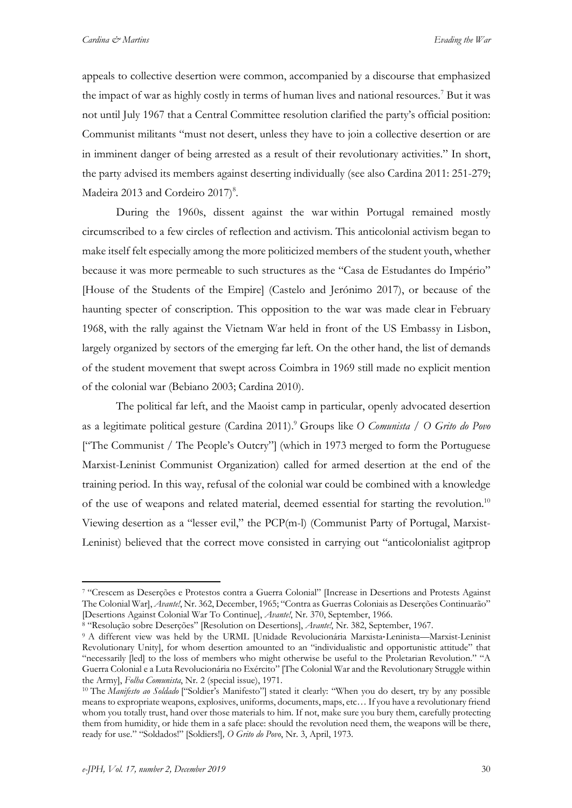*Cardina & Martins Evading the War*

appeals to collective desertion were common, accompanied by a discourse that emphasized the impact of war as highly costly in terms of human lives and national resources. <sup>7</sup> But it was not until July 1967 that a Central Committee resolution clarified the party's official position: Communist militants "must not desert, unless they have to join a collective desertion or are in imminent danger of being arrested as a result of their revolutionary activities." In short, the party advised its members against deserting individually (see also Cardina 2011: 251-279; Madeira 2013 and Cordeiro 2017)<sup>8</sup>.

During the 1960s, dissent against the war within Portugal remained mostly circumscribed to a few circles of reflection and activism. This anticolonial activism began to make itself felt especially among the more politicized members of the student youth, whether because it was more permeable to such structures as the "Casa de Estudantes do Império" [House of the Students of the Empire] (Castelo and Jerónimo 2017), or because of the haunting specter of conscription. This opposition to the war was made clear in February 1968, with the rally against the Vietnam War held in front of the US Embassy in Lisbon, largely organized by sectors of the emerging far left. On the other hand, the list of demands of the student movement that swept across Coimbra in 1969 still made no explicit mention of the colonial war (Bebiano 2003; Cardina 2010).

The political far left, and the Maoist camp in particular, openly advocated desertion as a legitimate political gesture (Cardina 2011). <sup>9</sup> Groups like *O Comunista* / *O Grito do Povo* ["The Communist / The People's Outcry"] (which in 1973 merged to form the Portuguese Marxist-Leninist Communist Organization) called for armed desertion at the end of the training period. In this way, refusal of the colonial war could be combined with a knowledge of the use of weapons and related material, deemed essential for starting the revolution.<sup>10</sup> Viewing desertion as a "lesser evil," the PCP(m-l) (Communist Party of Portugal, Marxist-Leninist) believed that the correct move consisted in carrying out "anticolonialist agitprop

<sup>7</sup> "Crescem as Deserções e Protestos contra a Guerra Colonial" [Increase in Desertions and Protests Against The Colonial War], *Avante!*, Nr. 362, December, 1965; "Contra as Guerras Coloniais as Deserções Continuarão" [Desertions Against Colonial War To Continue], *Avante!*, Nr. 370, September, 1966.

<sup>8</sup> "Resolução sobre Deserções" [Resolution on Desertions], *Avante!*, Nr. 382, September, 1967.

<sup>9</sup> A different view was held by the URML [Unidade Revolucionária Marxista-Leninista—Marxist-Leninist Revolutionary Unity], for whom desertion amounted to an "individualistic and opportunistic attitude" that "necessarily [led] to the loss of members who might otherwise be useful to the Proletarian Revolution." "A Guerra Colonial e a Luta Revolucionária no Exército" [The Colonial War and the Revolutionary Struggle within the Army], *Folha Comunista*, Nr. 2 (special issue), 1971.

<sup>&</sup>lt;sup>10</sup> The *Manifesto ao Soldado* ["Soldier's Manifesto"] stated it clearly: "When you do desert, try by any possible means to expropriate weapons, explosives, uniforms, documents, maps, etc… If you have a revolutionary friend whom you totally trust, hand over those materials to him. If not, make sure you bury them, carefully protecting them from humidity, or hide them in a safe place: should the revolution need them, the weapons will be there, ready for use." "Soldados!" [Soldiers!]*, O Grito do Povo*, Nr. 3, April, 1973.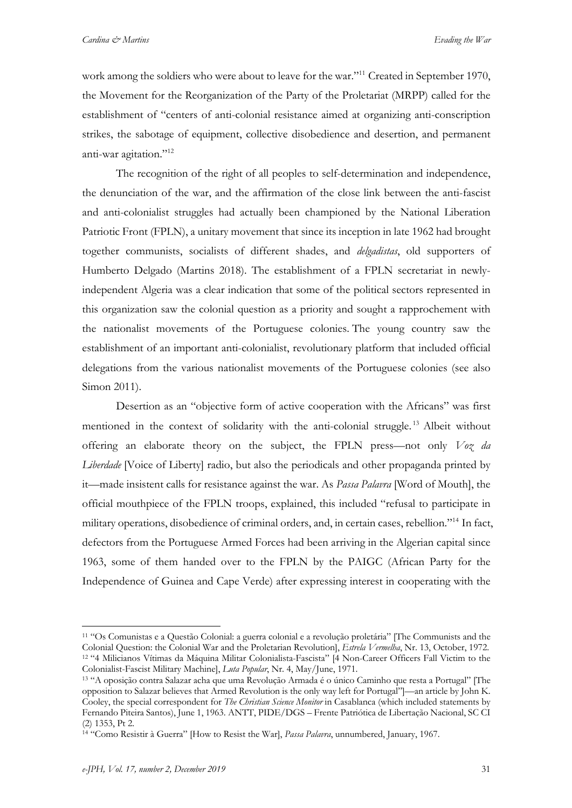work among the soldiers who were about to leave for the war."<sup>11</sup> Created in September 1970, the Movement for the Reorganization of the Party of the Proletariat (MRPP) called for the establishment of "centers of anti-colonial resistance aimed at organizing anti-conscription strikes, the sabotage of equipment, collective disobedience and desertion, and permanent anti-war agitation."12

The recognition of the right of all peoples to self-determination and independence, the denunciation of the war, and the affirmation of the close link between the anti-fascist and anti-colonialist struggles had actually been championed by the National Liberation Patriotic Front (FPLN), a unitary movement that since its inception in late 1962 had brought together communists, socialists of different shades, and *delgadistas*, old supporters of Humberto Delgado (Martins 2018). The establishment of a FPLN secretariat in newlyindependent Algeria was a clear indication that some of the political sectors represented in this organization saw the colonial question as a priority and sought a rapprochement with the nationalist movements of the Portuguese colonies. The young country saw the establishment of an important anti-colonialist, revolutionary platform that included official delegations from the various nationalist movements of the Portuguese colonies (see also Simon 2011).

Desertion as an "objective form of active cooperation with the Africans" was first mentioned in the context of solidarity with the anti-colonial struggle.<sup>13</sup> Albeit without offering an elaborate theory on the subject, the FPLN press—not only *Voz da Liberdade* [Voice of Liberty] radio, but also the periodicals and other propaganda printed by it—made insistent calls for resistance against the war. As *Passa Palavra* [Word of Mouth], the official mouthpiece of the FPLN troops, explained, this included "refusal to participate in military operations, disobedience of criminal orders, and, in certain cases, rebellion."14 In fact, defectors from the Portuguese Armed Forces had been arriving in the Algerian capital since 1963, some of them handed over to the FPLN by the PAIGC (African Party for the Independence of Guinea and Cape Verde) after expressing interest in cooperating with the

<sup>11</sup> "Os Comunistas e a Questão Colonial: a guerra colonial e a revolução proletária" [The Communists and the Colonial Question: the Colonial War and the Proletarian Revolution], *Estrela Vermelha*, Nr. 13, October, 1972. <sup>12</sup> "4 Milicianos Vítimas da Máquina Militar Colonialista-Fascista" [4 Non-Career Officers Fall Victim to the Colonialist-Fascist Military Machine], *Luta Popular*, Nr. 4, May/June, 1971.

<sup>13</sup> "A oposição contra Salazar acha que uma Revolução Armada é o único Caminho que resta a Portugal" [The opposition to Salazar believes that Armed Revolution is the only way left for Portugal"]—an article by John K. Cooley, the special correspondent for *The Christian Science Monitor* in Casablanca (which included statements by Fernando Piteira Santos), June 1, 1963. ANTT, PIDE/DGS – Frente Patriótica de Libertação Nacional, SC CI (2) 1353, Pt 2.

<sup>14</sup> "Como Resistir à Guerra" [How to Resist the War], *Passa Palavra*, unnumbered, January, 1967.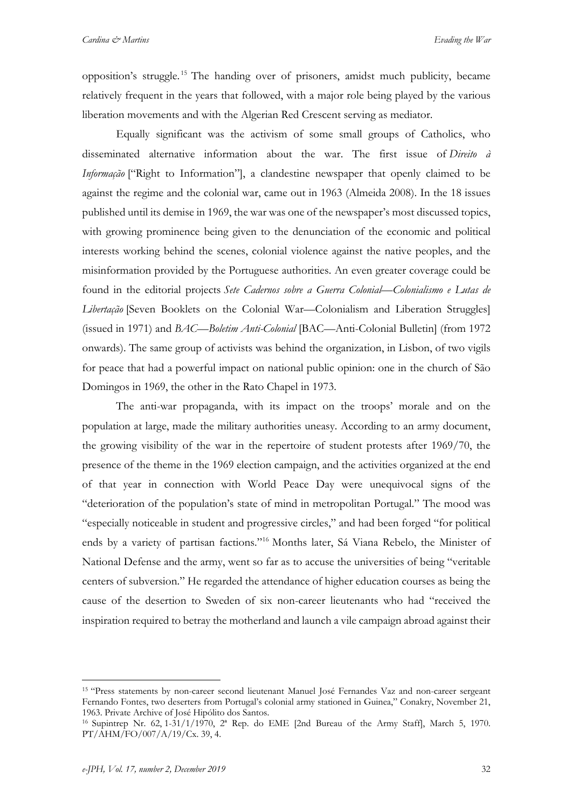opposition's struggle. <sup>15</sup> The handing over of prisoners, amidst much publicity, became relatively frequent in the years that followed, with a major role being played by the various liberation movements and with the Algerian Red Crescent serving as mediator.

Equally significant was the activism of some small groups of Catholics, who disseminated alternative information about the war. The first issue of *Direito à Informação* ["Right to Information"], a clandestine newspaper that openly claimed to be against the regime and the colonial war, came out in 1963 (Almeida 2008). In the 18 issues published until its demise in 1969, the war was one of the newspaper's most discussed topics, with growing prominence being given to the denunciation of the economic and political interests working behind the scenes, colonial violence against the native peoples, and the misinformation provided by the Portuguese authorities. An even greater coverage could be found in the editorial projects *Sete Cadernos sobre a Guerra Colonial*—*Colonialismo e Lutas de Libertação* [Seven Booklets on the Colonial War—Colonialism and Liberation Struggles] (issued in 1971) and *BAC*—*Boletim Anti-Colonial* [BAC—Anti-Colonial Bulletin] (from 1972 onwards). The same group of activists was behind the organization, in Lisbon, of two vigils for peace that had a powerful impact on national public opinion: one in the church of São Domingos in 1969, the other in the Rato Chapel in 1973.

The anti-war propaganda, with its impact on the troops' morale and on the population at large, made the military authorities uneasy. According to an army document, the growing visibility of the war in the repertoire of student protests after 1969/70, the presence of the theme in the 1969 election campaign, and the activities organized at the end of that year in connection with World Peace Day were unequivocal signs of the "deterioration of the population's state of mind in metropolitan Portugal." The mood was "especially noticeable in student and progressive circles," and had been forged "for political ends by a variety of partisan factions."16 Months later, Sá Viana Rebelo, the Minister of National Defense and the army, went so far as to accuse the universities of being "veritable centers of subversion." He regarded the attendance of higher education courses as being the cause of the desertion to Sweden of six non-career lieutenants who had "received the inspiration required to betray the motherland and launch a vile campaign abroad against their

<sup>15</sup> "Press statements by non-career second lieutenant Manuel José Fernandes Vaz and non-career sergeant Fernando Fontes, two deserters from Portugal's colonial army stationed in Guinea," Conakry, November 21, 1963. Private Archive of José Hipólito dos Santos.

<sup>16</sup> Supintrep Nr. 62, 1-31/1/1970, 2ª Rep. do EME [2nd Bureau of the Army Staff], March 5, 1970. PT/AHM/FO/007/A/19/Cx. 39, 4.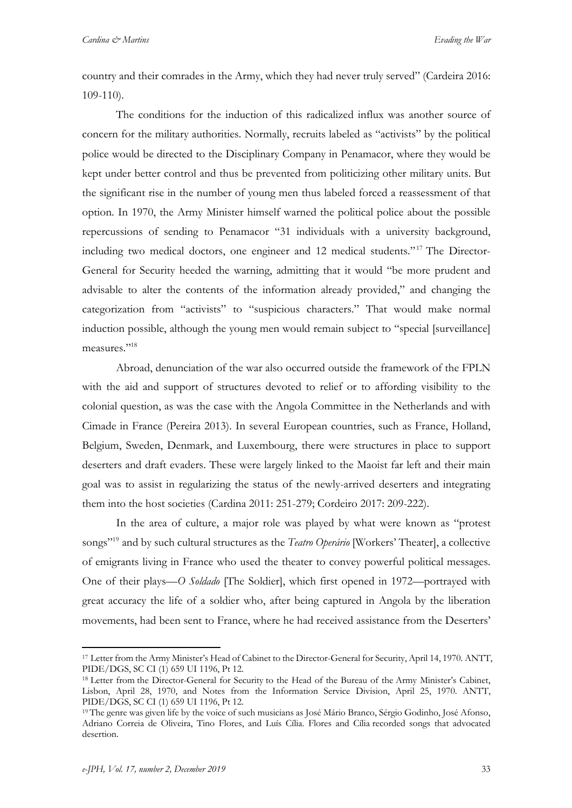country and their comrades in the Army, which they had never truly served" (Cardeira 2016: 109-110).

The conditions for the induction of this radicalized influx was another source of concern for the military authorities. Normally, recruits labeled as "activists" by the political police would be directed to the Disciplinary Company in Penamacor, where they would be kept under better control and thus be prevented from politicizing other military units. But the significant rise in the number of young men thus labeled forced a reassessment of that option. In 1970, the Army Minister himself warned the political police about the possible repercussions of sending to Penamacor "31 individuals with a university background, including two medical doctors, one engineer and 12 medical students."<sup>17</sup> The Director-General for Security heeded the warning, admitting that it would "be more prudent and advisable to alter the contents of the information already provided," and changing the categorization from "activists" to "suspicious characters." That would make normal induction possible, although the young men would remain subject to "special [surveillance] measures."18

Abroad, denunciation of the war also occurred outside the framework of the FPLN with the aid and support of structures devoted to relief or to affording visibility to the colonial question, as was the case with the Angola Committee in the Netherlands and with Cimade in France (Pereira 2013). In several European countries, such as France, Holland, Belgium, Sweden, Denmark, and Luxembourg, there were structures in place to support deserters and draft evaders. These were largely linked to the Maoist far left and their main goal was to assist in regularizing the status of the newly-arrived deserters and integrating them into the host societies (Cardina 2011: 251-279; Cordeiro 2017: 209-222).

In the area of culture, a major role was played by what were known as "protest songs"19 and by such cultural structures as the *Teatro Operário* [Workers' Theater], a collective of emigrants living in France who used the theater to convey powerful political messages. One of their plays—*O Soldado* [The Soldier], which first opened in 1972—portrayed with great accuracy the life of a soldier who, after being captured in Angola by the liberation movements, had been sent to France, where he had received assistance from the Deserters'

<sup>&</sup>lt;u>.</u> <sup>17</sup> Letter from the Army Minister's Head of Cabinet to the Director-General for Security, April 14, 1970. ANTT, PIDE/DGS, SC CI (1) 659 UI 1196, Pt 12.

<sup>&</sup>lt;sup>18</sup> Letter from the Director-General for Security to the Head of the Bureau of the Army Minister's Cabinet, Lisbon, April 28, 1970, and Notes from the Information Service Division, April 25, 1970. ANTT, PIDE/DGS, SC CI (1) 659 UI 1196, Pt 12.

<sup>19</sup> The genre was given life by the voice of such musicians as José Mário Branco, Sérgio Godinho, José Afonso, Adriano Correia de Oliveira, Tino Flores, and Luís Cília. Flores and Cília recorded songs that advocated desertion.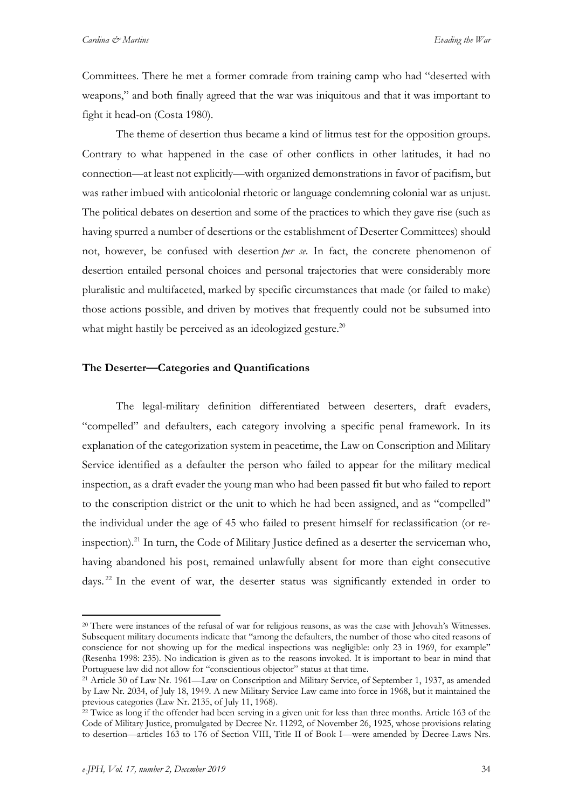Committees. There he met a former comrade from training camp who had "deserted with weapons," and both finally agreed that the war was iniquitous and that it was important to fight it head-on (Costa 1980).

The theme of desertion thus became a kind of litmus test for the opposition groups. Contrary to what happened in the case of other conflicts in other latitudes, it had no connection—at least not explicitly—with organized demonstrations in favor of pacifism, but was rather imbued with anticolonial rhetoric or language condemning colonial war as unjust. The political debates on desertion and some of the practices to which they gave rise (such as having spurred a number of desertions or the establishment of Deserter Committees) should not, however, be confused with desertion *per se*. In fact, the concrete phenomenon of desertion entailed personal choices and personal trajectories that were considerably more pluralistic and multifaceted, marked by specific circumstances that made (or failed to make) those actions possible, and driven by motives that frequently could not be subsumed into what might hastily be perceived as an ideologized gesture.<sup>20</sup>

#### **The Deserter—Categories and Quantifications**

The legal-military definition differentiated between deserters, draft evaders, "compelled" and defaulters, each category involving a specific penal framework. In its explanation of the categorization system in peacetime, the Law on Conscription and Military Service identified as a defaulter the person who failed to appear for the military medical inspection, as a draft evader the young man who had been passed fit but who failed to report to the conscription district or the unit to which he had been assigned, and as "compelled" the individual under the age of 45 who failed to present himself for reclassification (or reinspection). <sup>21</sup> In turn, the Code of Military Justice defined as a deserter the serviceman who, having abandoned his post, remained unlawfully absent for more than eight consecutive days. <sup>22</sup> In the event of war, the deserter status was significantly extended in order to

<sup>&</sup>lt;sup>20</sup> There were instances of the refusal of war for religious reasons, as was the case with Jehovah's Witnesses. Subsequent military documents indicate that "among the defaulters, the number of those who cited reasons of conscience for not showing up for the medical inspections was negligible: only 23 in 1969, for example" (Resenha 1998: 235). No indication is given as to the reasons invoked. It is important to bear in mind that Portuguese law did not allow for "conscientious objector" status at that time.

<sup>21</sup> Article 30 of Law Nr. 1961—Law on Conscription and Military Service, of September 1, 1937, as amended by Law Nr. 2034, of July 18, 1949. A new Military Service Law came into force in 1968, but it maintained the previous categories (Law Nr. 2135, of July 11, 1968).

<sup>&</sup>lt;sup>22</sup> Twice as long if the offender had been serving in a given unit for less than three months. Article 163 of the Code of Military Justice, promulgated by Decree Nr. 11292, of November 26, 1925, whose provisions relating to desertion—articles 163 to 176 of Section VIII, Title II of Book I—were amended by Decree-Laws Nrs.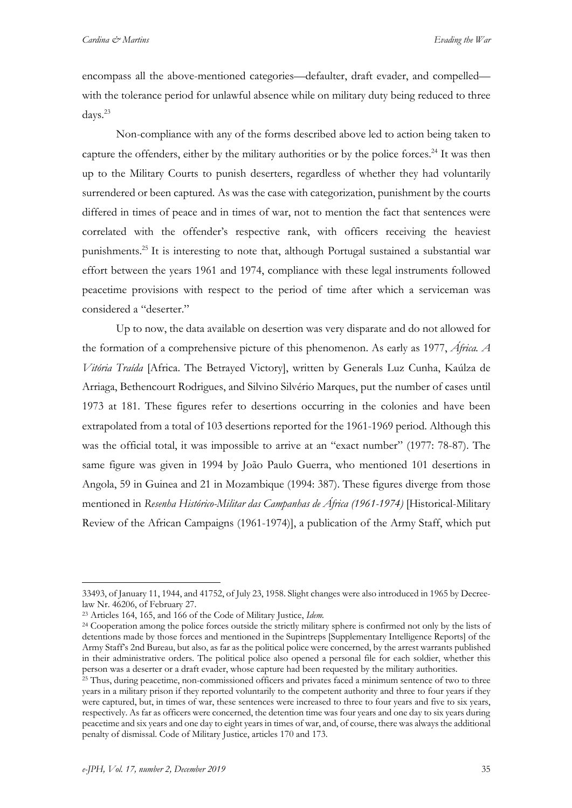encompass all the above-mentioned categories—defaulter, draft evader, and compelled with the tolerance period for unlawful absence while on military duty being reduced to three days. 23

Non-compliance with any of the forms described above led to action being taken to capture the offenders, either by the military authorities or by the police forces.<sup>24</sup> It was then up to the Military Courts to punish deserters, regardless of whether they had voluntarily surrendered or been captured. As was the case with categorization, punishment by the courts differed in times of peace and in times of war, not to mention the fact that sentences were correlated with the offender's respective rank, with officers receiving the heaviest punishments. <sup>25</sup> It is interesting to note that, although Portugal sustained a substantial war effort between the years 1961 and 1974, compliance with these legal instruments followed peacetime provisions with respect to the period of time after which a serviceman was considered a "deserter."

Up to now, the data available on desertion was very disparate and do not allowed for the formation of a comprehensive picture of this phenomenon. As early as 1977, *África. A Vitória Traída* [Africa. The Betrayed Victory], written by Generals Luz Cunha, Kaúlza de Arriaga, Bethencourt Rodrigues, and Silvino Silvério Marques, put the number of cases until 1973 at 181. These figures refer to desertions occurring in the colonies and have been extrapolated from a total of 103 desertions reported for the 1961-1969 period. Although this was the official total, it was impossible to arrive at an "exact number" (1977: 78-87). The same figure was given in 1994 by João Paulo Guerra, who mentioned 101 desertions in Angola, 59 in Guinea and 21 in Mozambique (1994: 387). These figures diverge from those mentioned in *Resenha Histórico-Militar das Campanhas de África (1961-1974)* [Historical-Military Review of the African Campaigns (1961-1974)], a publication of the Army Staff, which put

<sup>33493,</sup> of January 11, 1944, and 41752, of July 23, 1958. Slight changes were also introduced in 1965 by Decreelaw Nr. 46206, of February 27.

<sup>23</sup> Articles 164, 165, and 166 of the Code of Military Justice, *Idem.*

<sup>&</sup>lt;sup>24</sup> Cooperation among the police forces outside the strictly military sphere is confirmed not only by the lists of detentions made by those forces and mentioned in the Supintreps [Supplementary Intelligence Reports] of the Army Staff's 2nd Bureau, but also, as far as the political police were concerned, by the arrest warrants published in their administrative orders. The political police also opened a personal file for each soldier, whether this person was a deserter or a draft evader, whose capture had been requested by the military authorities.

<sup>&</sup>lt;sup>25</sup> Thus, during peacetime, non-commissioned officers and privates faced a minimum sentence of two to three years in a military prison if they reported voluntarily to the competent authority and three to four years if they were captured, but, in times of war, these sentences were increased to three to four years and five to six years, respectively. As far as officers were concerned, the detention time was four years and one day to six years during peacetime and six years and one day to eight years in times of war, and, of course, there was always the additional penalty of dismissal. Code of Military Justice, articles 170 and 173.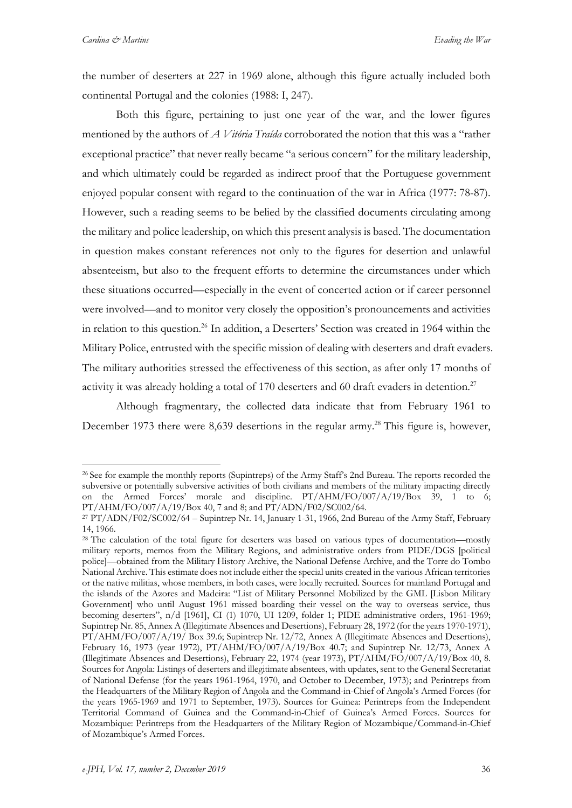1

the number of deserters at 227 in 1969 alone, although this figure actually included both continental Portugal and the colonies (1988: I, 247).

Both this figure, pertaining to just one year of the war, and the lower figures mentioned by the authors of *A Vitória Traída* corroborated the notion that this was a "rather exceptional practice" that never really became "a serious concern" for the military leadership, and which ultimately could be regarded as indirect proof that the Portuguese government enjoyed popular consent with regard to the continuation of the war in Africa (1977: 78-87). However, such a reading seems to be belied by the classified documents circulating among the military and police leadership, on which this present analysis is based. The documentation in question makes constant references not only to the figures for desertion and unlawful absenteeism, but also to the frequent efforts to determine the circumstances under which these situations occurred—especially in the event of concerted action or if career personnel were involved—and to monitor very closely the opposition's pronouncements and activities in relation to this question. <sup>26</sup> In addition, a Deserters' Section was created in 1964 within the Military Police, entrusted with the specific mission of dealing with deserters and draft evaders. The military authorities stressed the effectiveness of this section, as after only 17 months of activity it was already holding a total of 170 deserters and 60 draft evaders in detention.<sup>27</sup>

Although fragmentary, the collected data indicate that from February 1961 to December 1973 there were 8,639 desertions in the regular army. <sup>28</sup> This figure is, however,

<sup>26</sup> See for example the monthly reports (Supintreps) of the Army Staff's 2nd Bureau. The reports recorded the subversive or potentially subversive activities of both civilians and members of the military impacting directly on the Armed Forces' morale and discipline. PT/AHM/FO/007/A/19/Box 39, 1 to 6; PT/AHM/FO/007/A/19/Box 40, 7 and 8; and PT/ADN/F02/SC002/64.

<sup>27</sup> PT/ADN/F02/SC002/64 – Supintrep Nr. 14, January 1-31, 1966, 2nd Bureau of the Army Staff, February 14, 1966.

<sup>&</sup>lt;sup>28</sup> The calculation of the total figure for deserters was based on various types of documentation—mostly military reports, memos from the Military Regions, and administrative orders from PIDE/DGS [political police]—obtained from the Military History Archive, the National Defense Archive, and the Torre do Tombo National Archive. This estimate does not include either the special units created in the various African territories or the native militias, whose members, in both cases, were locally recruited. Sources for mainland Portugal and the islands of the Azores and Madeira: "List of Military Personnel Mobilized by the GML [Lisbon Military Government] who until August 1961 missed boarding their vessel on the way to overseas service, thus becoming deserters", n/d [1961], CI (1) 1070, UI 1209, folder 1; PIDE administrative orders, 1961-1969; Supintrep Nr. 85, Annex A (Illegitimate Absences and Desertions), February 28, 1972 (for the years 1970-1971), PT/AHM/FO/007/A/19/ Box 39.6; Supintrep Nr. 12/72, Annex A (Illegitimate Absences and Desertions), February 16, 1973 (year 1972), PT/AHM/FO/007/A/19/Box 40.7; and Supintrep Nr. 12/73, Annex A (Illegitimate Absences and Desertions), February 22, 1974 (year 1973), PT/AHM/FO/007/A/19/Box 40, 8. Sources for Angola: Listings of deserters and illegitimate absentees, with updates, sent to the General Secretariat of National Defense (for the years 1961-1964, 1970, and October to December, 1973); and Perintreps from the Headquarters of the Military Region of Angola and the Command-in-Chief of Angola's Armed Forces (for the years 1965-1969 and 1971 to September, 1973). Sources for Guinea: Perintreps from the Independent Territorial Command of Guinea and the Command-in-Chief of Guinea's Armed Forces. Sources for Mozambique: Perintreps from the Headquarters of the Military Region of Mozambique/Command-in-Chief of Mozambique's Armed Forces.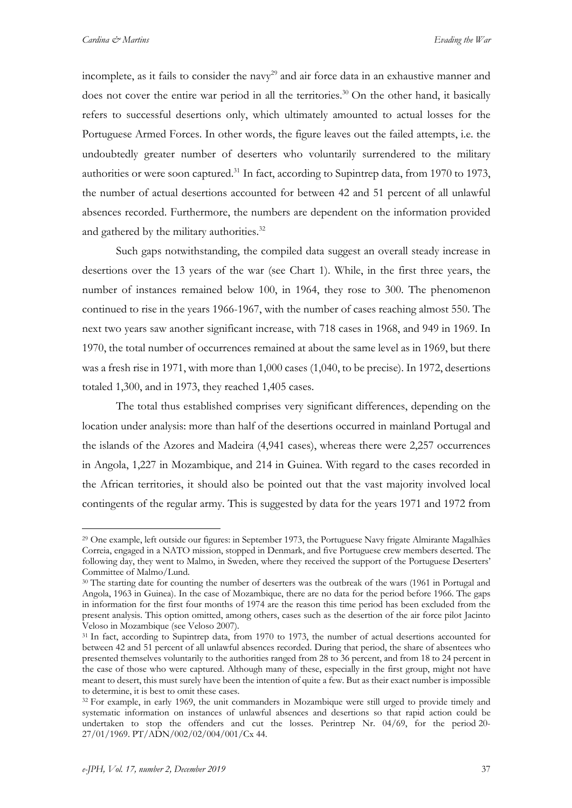incomplete, as it fails to consider the navy<sup>29</sup> and air force data in an exhaustive manner and does not cover the entire war period in all the territories. <sup>30</sup> On the other hand, it basically refers to successful desertions only, which ultimately amounted to actual losses for the Portuguese Armed Forces. In other words, the figure leaves out the failed attempts, i.e. the undoubtedly greater number of deserters who voluntarily surrendered to the military authorities or were soon captured.<sup>31</sup> In fact, according to Supintrep data, from 1970 to 1973, the number of actual desertions accounted for between 42 and 51 percent of all unlawful absences recorded. Furthermore, the numbers are dependent on the information provided and gathered by the military authorities.<sup>32</sup>

Such gaps notwithstanding, the compiled data suggest an overall steady increase in desertions over the 13 years of the war (see Chart 1). While, in the first three years, the number of instances remained below 100, in 1964, they rose to 300. The phenomenon continued to rise in the years 1966-1967, with the number of cases reaching almost 550. The next two years saw another significant increase, with 718 cases in 1968, and 949 in 1969. In 1970, the total number of occurrences remained at about the same level as in 1969, but there was a fresh rise in 1971, with more than 1,000 cases (1,040, to be precise). In 1972, desertions totaled 1,300, and in 1973, they reached 1,405 cases.

The total thus established comprises very significant differences, depending on the location under analysis: more than half of the desertions occurred in mainland Portugal and the islands of the Azores and Madeira (4,941 cases), whereas there were 2,257 occurrences in Angola, 1,227 in Mozambique, and 214 in Guinea. With regard to the cases recorded in the African territories, it should also be pointed out that the vast majority involved local contingents of the regular army. This is suggested by data for the years 1971 and 1972 from

<sup>&</sup>lt;sup>29</sup> One example, left outside our figures: in September 1973, the Portuguese Navy frigate Almirante Magalhães Correia, engaged in a NATO mission, stopped in Denmark, and five Portuguese crew members deserted. The following day, they went to Malmo, in Sweden, where they received the support of the Portuguese Deserters' Committee of Malmo/Lund.

<sup>&</sup>lt;sup>30</sup> The starting date for counting the number of deserters was the outbreak of the wars (1961 in Portugal and Angola, 1963 in Guinea). In the case of Mozambique, there are no data for the period before 1966. The gaps in information for the first four months of 1974 are the reason this time period has been excluded from the present analysis. This option omitted, among others, cases such as the desertion of the air force pilot Jacinto Veloso in Mozambique (see Veloso 2007).

<sup>&</sup>lt;sup>31</sup> In fact, according to Supintrep data, from 1970 to 1973, the number of actual desertions accounted for between 42 and 51 percent of all unlawful absences recorded. During that period, the share of absentees who presented themselves voluntarily to the authorities ranged from 28 to 36 percent, and from 18 to 24 percent in the case of those who were captured. Although many of these, especially in the first group, might not have meant to desert, this must surely have been the intention of quite a few. But as their exact number is impossible to determine, it is best to omit these cases.

<sup>&</sup>lt;sup>32</sup> For example, in early 1969, the unit commanders in Mozambique were still urged to provide timely and systematic information on instances of unlawful absences and desertions so that rapid action could be undertaken to stop the offenders and cut the losses. Perintrep Nr. 04/69, for the period 20- 27/01/1969. PT/ADN/002/02/004/001/Cx 44.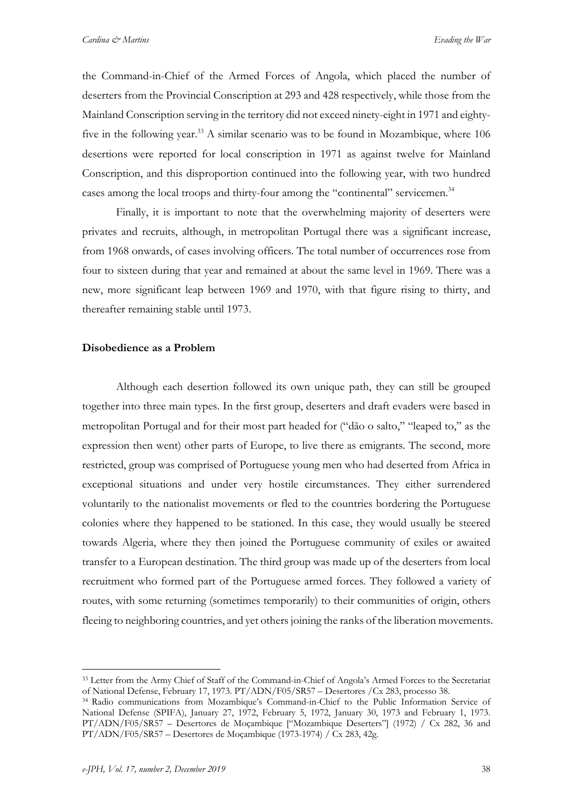the Command-in-Chief of the Armed Forces of Angola, which placed the number of deserters from the Provincial Conscription at 293 and 428 respectively, while those from the Mainland Conscription serving in the territory did not exceed ninety-eight in 1971 and eightyfive in the following year.<sup>33</sup> A similar scenario was to be found in Mozambique, where 106 desertions were reported for local conscription in 1971 as against twelve for Mainland Conscription, and this disproportion continued into the following year, with two hundred cases among the local troops and thirty-four among the "continental" servicemen. 34

Finally, it is important to note that the overwhelming majority of deserters were privates and recruits, although, in metropolitan Portugal there was a significant increase, from 1968 onwards, of cases involving officers. The total number of occurrences rose from four to sixteen during that year and remained at about the same level in 1969. There was a new, more significant leap between 1969 and 1970, with that figure rising to thirty, and thereafter remaining stable until 1973.

#### **Disobedience as a Problem**

Although each desertion followed its own unique path, they can still be grouped together into three main types. In the first group, deserters and draft evaders were based in metropolitan Portugal and for their most part headed for ("dão o salto," "leaped to," as the expression then went) other parts of Europe, to live there as emigrants. The second, more restricted, group was comprised of Portuguese young men who had deserted from Africa in exceptional situations and under very hostile circumstances. They either surrendered voluntarily to the nationalist movements or fled to the countries bordering the Portuguese colonies where they happened to be stationed. In this case, they would usually be steered towards Algeria, where they then joined the Portuguese community of exiles or awaited transfer to a European destination. The third group was made up of the deserters from local recruitment who formed part of the Portuguese armed forces. They followed a variety of routes, with some returning (sometimes temporarily) to their communities of origin, others fleeing to neighboring countries, and yet others joining the ranks of the liberation movements.

<sup>&</sup>lt;sup>33</sup> Letter from the Army Chief of Staff of the Command-in-Chief of Angola's Armed Forces to the Secretariat of National Defense, February 17, 1973. PT/ADN/F05/SR57 – Desertores /Cx 283, processo 38.

<sup>34</sup> Radio communications from Mozambique's Command-in-Chief to the Public Information Service of National Defense (SPIFA), January 27, 1972, February 5, 1972, January 30, 1973 and February 1, 1973. PT/ADN/F05/SR57 – Desertores de Moçambique ["Mozambique Deserters"] (1972) / Cx 282, 36 and  $PT/ADN/F05/SR57 - Desertores de Mozambique (1973-1974) / Cx 283, 42g.$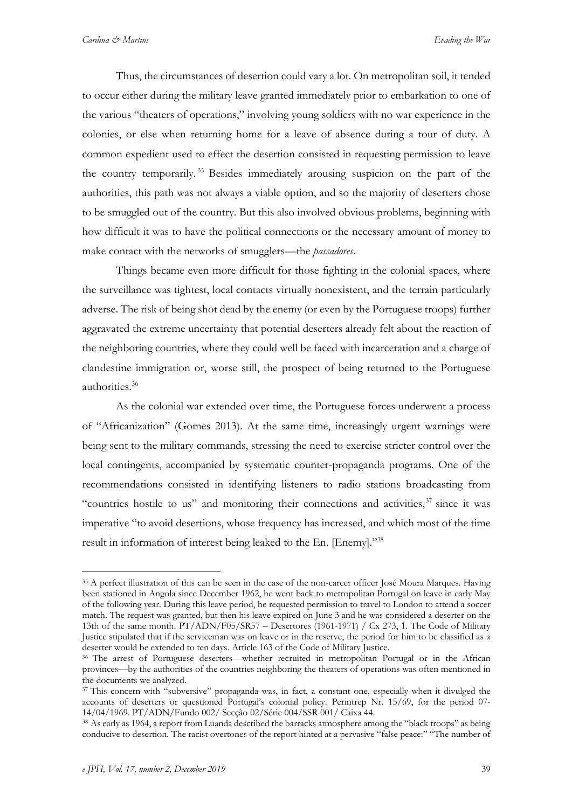Thus, the circumstances of desertion could vary a lot. On metropolitan soil, it tended to occur either during the military leave granted immediately prior to embarkation to one of the various "theaters of operations," involving young soldiers with no war experience in the colonies, or else when returning home for a leave of absence during a tour of duty. A common expedient used to effect the desertion consisted in requesting permission to leave the country temporarily. <sup>35</sup> Besides immediately arousing suspicion on the part of the authorities, this path was not always a viable option, and so the majority of deserters chose to be smuggled out of the country. But this also involved obvious problems, beginning with how difficult it was to have the political connections or the necessary amount of money to make contact with the networks of smugglers—the *passadores*.

Things became even more difficult for those fighting in the colonial spaces, where the surveillance was tightest, local contacts virtually nonexistent, and the terrain particularly adverse. The risk of being shot dead by the enemy (or even by the Portuguese troops) further aggravated the extreme uncertainty that potential deserters already felt about the reaction of the neighboring countries, where they could well be faced with incarceration and a charge of clandestine immigration or, worse still, the prospect of being returned to the Portuguese authorities. 36

As the colonial war extended over time, the Portuguese forces underwent a process of "Africanization" (Gomes 2013). At the same time, increasingly urgent warnings were being sent to the military commands, stressing the need to exercise stricter control over the local contingents, accompanied by systematic counter-propaganda programs. One of the recommendations consisted in identifying listeners to radio stations broadcasting from "countries hostile to us" and monitoring their connections and activities,<sup>37</sup> since it was imperative "to avoid desertions, whose frequency has increased, and which most of the time result in information of interest being leaked to the En. [Enemy]."38

<sup>35</sup> A perfect illustration of this can be seen in the case of the non-career officer José Moura Marques. Having been stationed in Angola since December 1962, he went back to metropolitan Portugal on leave in early May of the following year. During this leave period, he requested permission to travel to London to attend a soccer match. The request was granted, but then his leave expired on June 3 and he was considered a deserter on the 13th of the same month. PT/ADN/F05/SR57 – Desertores (1961-1971) / Cx 273, 1. The Code of Military Justice stipulated that if the serviceman was on leave or in the reserve, the period for him to be classified as a deserter would be extended to ten days. Article 163 of the Code of Military Justice.

<sup>36</sup> The arrest of Portuguese deserters—whether recruited in metropolitan Portugal or in the African provinces—by the authorities of the countries neighboring the theaters of operations was often mentioned in the documents we analyzed.

<sup>&</sup>lt;sup>37</sup> This concern with "subversive" propaganda was, in fact, a constant one, especially when it divulged the accounts of deserters or questioned Portugal's colonial policy. Perintrep Nr. 15/69, for the period 07- 14/04/1969. PT/ADN/Fundo 002/ Secção 02/Série 004/SSR 001/ Caixa 44.

<sup>38</sup> As early as 1964, a report from Luanda described the barracks atmosphere among the "black troops" as being conducive to desertion. The racist overtones of the report hinted at a pervasive "false peace:" "The number of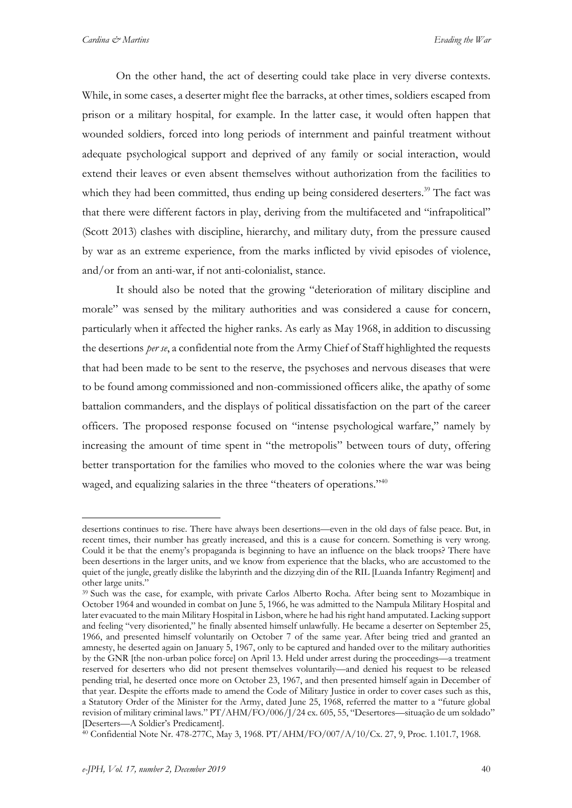On the other hand, the act of deserting could take place in very diverse contexts. While, in some cases, a deserter might flee the barracks, at other times, soldiers escaped from prison or a military hospital, for example. In the latter case, it would often happen that wounded soldiers, forced into long periods of internment and painful treatment without adequate psychological support and deprived of any family or social interaction, would extend their leaves or even absent themselves without authorization from the facilities to which they had been committed, thus ending up being considered deserters.<sup>39</sup> The fact was that there were different factors in play, deriving from the multifaceted and "infrapolitical" (Scott 2013) clashes with discipline, hierarchy, and military duty, from the pressure caused by war as an extreme experience, from the marks inflicted by vivid episodes of violence, and/or from an anti-war, if not anti-colonialist, stance.

It should also be noted that the growing "deterioration of military discipline and morale" was sensed by the military authorities and was considered a cause for concern, particularly when it affected the higher ranks. As early as May 1968, in addition to discussing the desertions *per se*, a confidential note from the Army Chief of Staff highlighted the requests that had been made to be sent to the reserve, the psychoses and nervous diseases that were to be found among commissioned and non-commissioned officers alike, the apathy of some battalion commanders, and the displays of political dissatisfaction on the part of the career officers. The proposed response focused on "intense psychological warfare," namely by increasing the amount of time spent in "the metropolis" between tours of duty, offering better transportation for the families who moved to the colonies where the war was being waged, and equalizing salaries in the three "theaters of operations."<sup>40</sup>

desertions continues to rise. There have always been desertions—even in the old days of false peace. But, in recent times, their number has greatly increased, and this is a cause for concern. Something is very wrong. Could it be that the enemy's propaganda is beginning to have an influence on the black troops? There have been desertions in the larger units, and we know from experience that the blacks, who are accustomed to the quiet of the jungle, greatly dislike the labyrinth and the dizzying din of the RIL [Luanda Infantry Regiment] and other large units."

<sup>39</sup> Such was the case, for example, with private Carlos Alberto Rocha. After being sent to Mozambique in October 1964 and wounded in combat on June 5, 1966, he was admitted to the Nampula Military Hospital and later evacuated to the main Military Hospital in Lisbon, where he had his right hand amputated. Lacking support and feeling "very disoriented," he finally absented himself unlawfully. He became a deserter on September 25, 1966, and presented himself voluntarily on October 7 of the same year. After being tried and granted an amnesty, he deserted again on January 5, 1967, only to be captured and handed over to the military authorities by the GNR [the non-urban police force] on April 13. Held under arrest during the proceedings—a treatment reserved for deserters who did not present themselves voluntarily—and denied his request to be released pending trial, he deserted once more on October 23, 1967, and then presented himself again in December of that year. Despite the efforts made to amend the Code of Military Justice in order to cover cases such as this, a Statutory Order of the Minister for the Army, dated June 25, 1968, referred the matter to a "future global revision of military criminal laws." PT/AHM/FO/006/J/24 cx. 605, 55, "Desertores—situação de um soldado" [Deserters—A Soldier's Predicament].

<sup>40</sup> Confidential Note Nr. 478-277C, May 3, 1968. PT/AHM/FO/007/A/10/Cx. 27, 9, Proc. 1.101.7, 1968.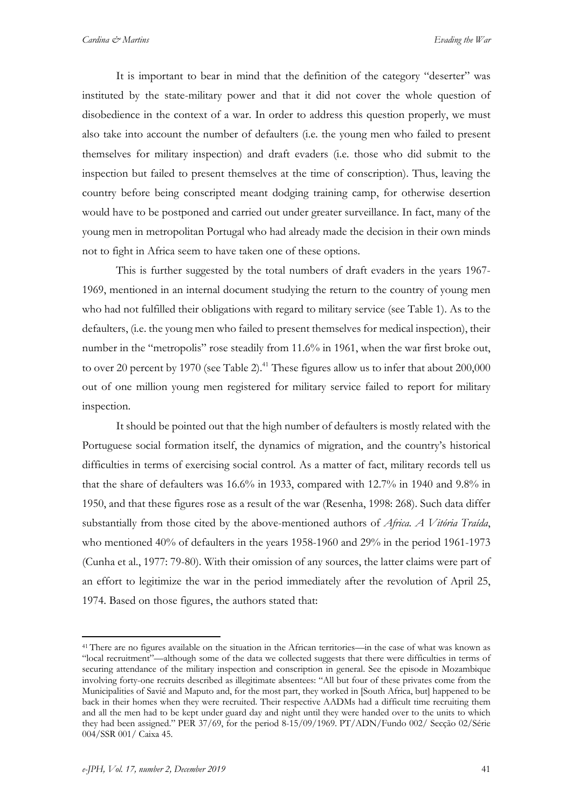It is important to bear in mind that the definition of the category "deserter" was instituted by the state-military power and that it did not cover the whole question of disobedience in the context of a war. In order to address this question properly, we must also take into account the number of defaulters (i.e. the young men who failed to present themselves for military inspection) and draft evaders (i.e. those who did submit to the inspection but failed to present themselves at the time of conscription). Thus, leaving the country before being conscripted meant dodging training camp, for otherwise desertion would have to be postponed and carried out under greater surveillance. In fact, many of the young men in metropolitan Portugal who had already made the decision in their own minds not to fight in Africa seem to have taken one of these options.

This is further suggested by the total numbers of draft evaders in the years 1967- 1969, mentioned in an internal document studying the return to the country of young men who had not fulfilled their obligations with regard to military service (see Table 1). As to the defaulters, (i.e. the young men who failed to present themselves for medical inspection), their number in the "metropolis" rose steadily from 11.6% in 1961, when the war first broke out, to over 20 percent by 1970 (see Table 2).<sup>41</sup> These figures allow us to infer that about 200,000 out of one million young men registered for military service failed to report for military inspection.

It should be pointed out that the high number of defaulters is mostly related with the Portuguese social formation itself, the dynamics of migration, and the country's historical difficulties in terms of exercising social control. As a matter of fact, military records tell us that the share of defaulters was 16.6% in 1933, compared with 12.7% in 1940 and 9.8% in 1950, and that these figures rose as a result of the war (Resenha, 1998: 268). Such data differ substantially from those cited by the above-mentioned authors of *Africa. A Vitória Traída*, who mentioned 40% of defaulters in the years 1958-1960 and 29% in the period 1961-1973 (Cunha et al., 1977: 79-80). With their omission of any sources, the latter claims were part of an effort to legitimize the war in the period immediately after the revolution of April 25, 1974. Based on those figures, the authors stated that:

<sup>41</sup> There are no figures available on the situation in the African territories—in the case of what was known as "local recruitment"—although some of the data we collected suggests that there were difficulties in terms of securing attendance of the military inspection and conscription in general. See the episode in Mozambique involving forty-one recruits described as illegitimate absentees: "All but four of these privates come from the Municipalities of Savié and Maputo and, for the most part, they worked in [South Africa, but] happened to be back in their homes when they were recruited. Their respective AADMs had a difficult time recruiting them and all the men had to be kept under guard day and night until they were handed over to the units to which they had been assigned." PER 37/69, for the period 8-15/09/1969. PT/ADN/Fundo 002/ Secção 02/Série 004/SSR 001/ Caixa 45.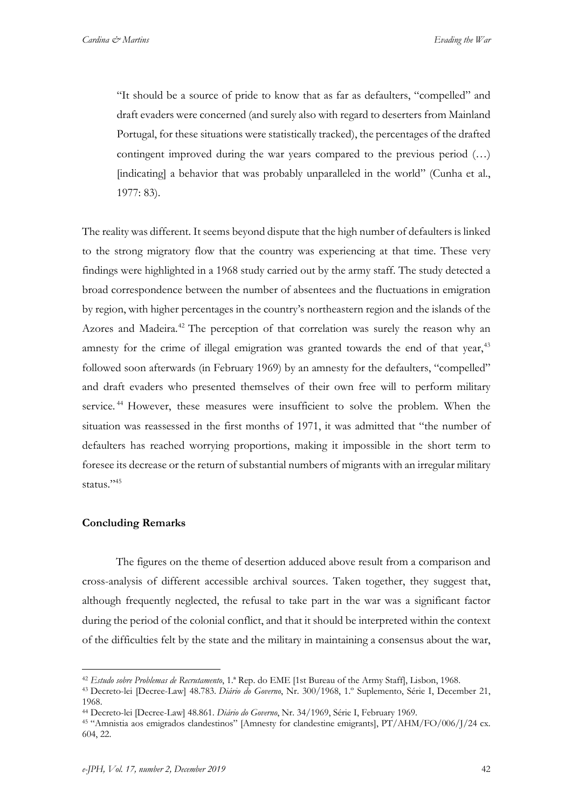"It should be a source of pride to know that as far as defaulters, "compelled" and draft evaders were concerned (and surely also with regard to deserters from Mainland Portugal, for these situations were statistically tracked), the percentages of the drafted contingent improved during the war years compared to the previous period (…) [indicating] a behavior that was probably unparalleled in the world" (Cunha et al., 1977: 83).

The reality was different. It seems beyond dispute that the high number of defaulters is linked to the strong migratory flow that the country was experiencing at that time. These very findings were highlighted in a 1968 study carried out by the army staff. The study detected a broad correspondence between the number of absentees and the fluctuations in emigration by region, with higher percentages in the country's northeastern region and the islands of the Azores and Madeira.<sup>42</sup> The perception of that correlation was surely the reason why an amnesty for the crime of illegal emigration was granted towards the end of that year,<sup>43</sup> followed soon afterwards (in February 1969) by an amnesty for the defaulters, "compelled" and draft evaders who presented themselves of their own free will to perform military service.<sup>44</sup> However, these measures were insufficient to solve the problem. When the situation was reassessed in the first months of 1971, it was admitted that "the number of defaulters has reached worrying proportions, making it impossible in the short term to foresee its decrease or the return of substantial numbers of migrants with an irregular military status."<sup>45</sup>

#### **Concluding Remarks**

<u>.</u>

The figures on the theme of desertion adduced above result from a comparison and cross-analysis of different accessible archival sources. Taken together, they suggest that, although frequently neglected, the refusal to take part in the war was a significant factor during the period of the colonial conflict, and that it should be interpreted within the context of the difficulties felt by the state and the military in maintaining a consensus about the war,

<sup>42</sup> *Estudo sobre Problemas de Recrutamento*, 1.ª Rep. do EME [1st Bureau of the Army Staff], Lisbon, 1968.

<sup>43</sup> Decreto-lei [Decree-Law] 48.783. *Diário do Governo*, Nr. 300/1968, 1.º Suplemento, Série I, December 21, 1968.

<sup>44</sup> Decreto-lei [Decree-Law] 48.861. *Diário do Governo*, Nr. 34/1969, Série I, February 1969.

<sup>45</sup> "Amnistia aos emigrados clandestinos" [Amnesty for clandestine emigrants], PT/AHM/FO/006/J/24 cx. 604, 22.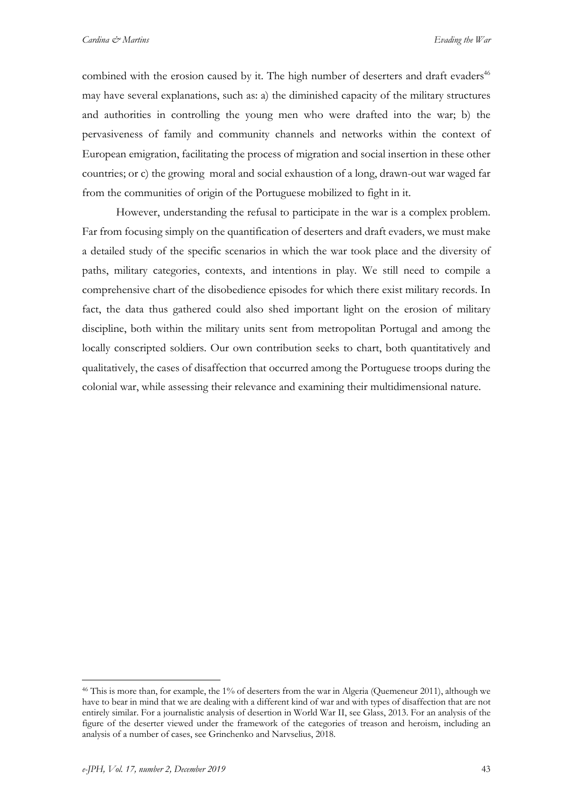combined with the erosion caused by it. The high number of deserters and draft evaders<sup>46</sup> may have several explanations, such as: a) the diminished capacity of the military structures and authorities in controlling the young men who were drafted into the war; b) the pervasiveness of family and community channels and networks within the context of European emigration, facilitating the process of migration and social insertion in these other countries; or c) the growing moral and social exhaustion of a long, drawn-out war waged far from the communities of origin of the Portuguese mobilized to fight in it.

However, understanding the refusal to participate in the war is a complex problem. Far from focusing simply on the quantification of deserters and draft evaders, we must make a detailed study of the specific scenarios in which the war took place and the diversity of paths, military categories, contexts, and intentions in play. We still need to compile a comprehensive chart of the disobedience episodes for which there exist military records. In fact, the data thus gathered could also shed important light on the erosion of military discipline, both within the military units sent from metropolitan Portugal and among the locally conscripted soldiers. Our own contribution seeks to chart, both quantitatively and qualitatively, the cases of disaffection that occurred among the Portuguese troops during the colonial war, while assessing their relevance and examining their multidimensional nature.

<sup>46</sup> This is more than, for example, the 1% of deserters from the war in Algeria (Quemeneur 2011), although we have to bear in mind that we are dealing with a different kind of war and with types of disaffection that are not entirely similar. For a journalistic analysis of desertion in World War II, see Glass, 2013. For an analysis of the figure of the deserter viewed under the framework of the categories of treason and heroism, including an analysis of a number of cases, see Grinchenko and Narvselius, 2018.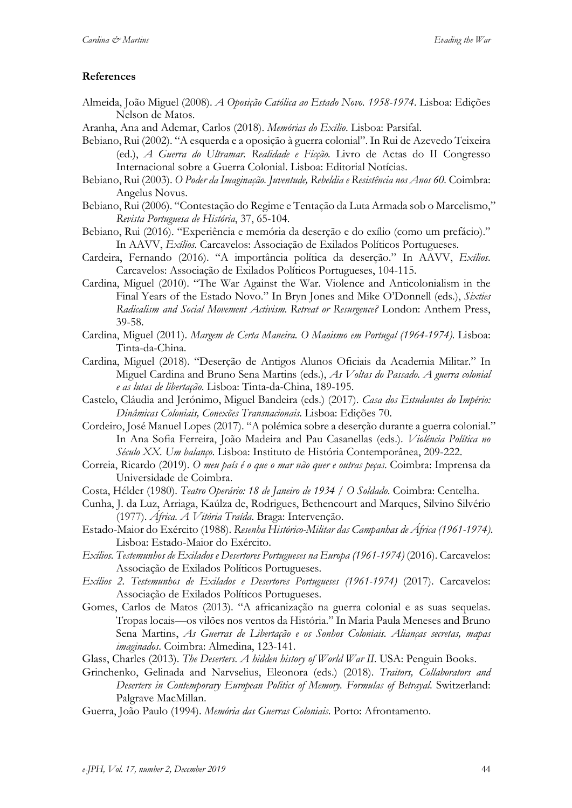### **References**

- Almeida, João Miguel (2008). *A Oposição Católica ao Estado Novo. 1958-1974*. Lisboa: Edições Nelson de Matos.
- Aranha, Ana and Ademar, Carlos (2018). *Memórias do Exílio*. Lisboa: Parsifal.
- Bebiano, Rui (2002). "A esquerda e a oposição à guerra colonial". In Rui de Azevedo Teixeira (ed.), *A Guerra do Ultramar. Realidade e Ficção.* Livro de Actas do II Congresso Internacional sobre a Guerra Colonial. Lisboa: Editorial Notícias.
- Bebiano, Rui (2003). *O Poder da Imaginação. Juventude, Rebeldia e Resistência nos Anos 60.* Coimbra: Angelus Novus.
- Bebiano, Rui (2006). "Contestação do Regime e Tentação da Luta Armada sob o Marcelismo," *Revista Portuguesa de História*, 37, 65-104.
- Bebiano, Rui (2016). "Experiência e memória da deserção e do exílio (como um prefácio)." In AAVV, *Exílios*. Carcavelos: Associação de Exilados Políticos Portugueses.
- Cardeira, Fernando (2016). "A importância política da deserção." In AAVV, *Exílios*. Carcavelos: Associação de Exilados Políticos Portugueses, 104-115.
- Cardina, Miguel (2010). "The War Against the War. Violence and Anticolonialism in the Final Years of the Estado Novo." In Bryn Jones and Mike O'Donnell (eds.), *Sixties Radicalism and Social Movement Activism. Retreat or Resurgence?* London: Anthem Press, 39-58.
- Cardina, Miguel (2011). *Margem de Certa Maneira. O Maoismo em Portugal (1964-1974).* Lisboa: Tinta-da-China.
- Cardina, Miguel (2018). "Deserção de Antigos Alunos Oficiais da Academia Militar." In Miguel Cardina and Bruno Sena Martins (eds.), *As Voltas do Passado. A guerra colonial e as lutas de libertação*. Lisboa: Tinta-da-China, 189-195.
- Castelo, Cláudia and Jerónimo, Miguel Bandeira (eds.) (2017). *Casa dos Estudantes do Império: Dinâmicas Coloniais, Conexões Transnacionais*. Lisboa: Edições 70.
- Cordeiro, José Manuel Lopes (2017). "A polémica sobre a deserção durante a guerra colonial." In Ana Sofia Ferreira, João Madeira and Pau Casanellas (eds.). *Violência Política no Século XX. Um balanço*. Lisboa: Instituto de História Contemporânea, 209-222.
- Correia, Ricardo (2019). *O meu país é o que o mar não quer e outras peças*. Coimbra: Imprensa da Universidade de Coimbra.
- Costa, Hélder (1980). *Teatro Operário: 18 de Janeiro de 1934 / O Soldado*. Coimbra: Centelha.
- Cunha, J. da Luz, Arriaga, Kaúlza de, Rodrigues, Bethencourt and Marques, Silvino Silvério (1977). *África. A Vitória Traída*. Braga: Intervenção.
- Estado-Maior do Exército (1988). *Resenha Histórico-Militar das Campanhas de África (1961-1974)*. Lisboa: Estado-Maior do Exército.
- *Exílios. Testemunhos de Exilados e Desertores Portugueses na Europa (1961-1974)* (2016). Carcavelos: Associação de Exilados Políticos Portugueses.
- *Exílios 2. Testemunhos de Exilados e Desertores Portugueses (1961-1974)* (2017). Carcavelos: Associação de Exilados Políticos Portugueses.
- Gomes, Carlos de Matos (2013). "A africanização na guerra colonial e as suas sequelas. Tropas locais—os vilões nos ventos da História." In Maria Paula Meneses and Bruno Sena Martins, *As Guerras de Libertação e os Sonhos Coloniais. Alianças secretas, mapas imaginados*. Coimbra: Almedina, 123-141.
- Glass, Charles (2013). *The Deserters. A hidden history of World War II*. USA: Penguin Books.
- Grinchenko, Gelinada and Narvselius, Eleonora (eds.) (2018). *Traitors, Collaborators and Deserters in Contemporary European Politics of Memory. Formulas of Betrayal*. Switzerland: Palgrave MacMillan.
- Guerra, João Paulo (1994). *Memória das Guerras Coloniais*. Porto: Afrontamento.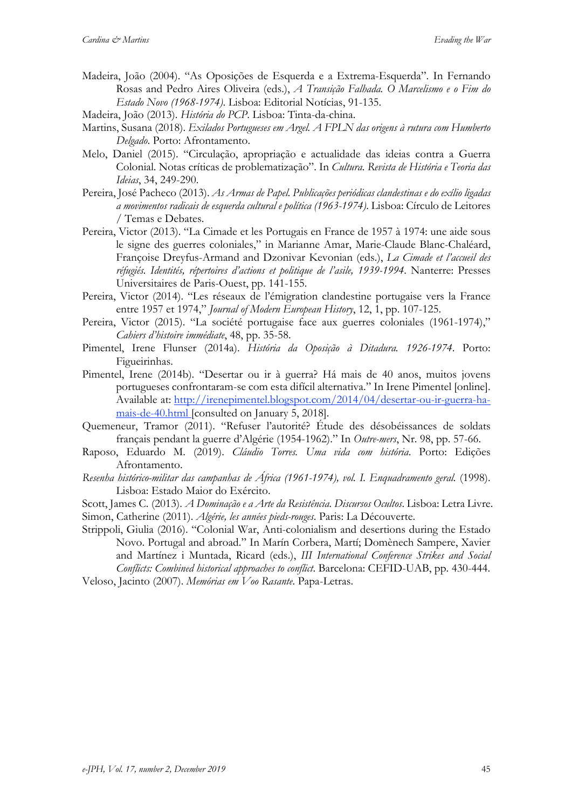Madeira, João (2004). "As Oposições de Esquerda e a Extrema-Esquerda". In Fernando Rosas and Pedro Aires Oliveira (eds.), *A Transição Falhada. O Marcelismo e o Fim do Estado Novo (1968-1974)*. Lisboa: Editorial Notícias, 91-135.

Madeira, João (2013). *História do PCP*. Lisboa: Tinta-da-china.

- Martins, Susana (2018). *Exilados Portugueses em Argel. A FPLN das origens à rutura com Humberto Delgado*. Porto: Afrontamento.
- Melo, Daniel (2015). "Circulação, apropriação e actualidade das ideias contra a Guerra Colonial. Notas críticas de problematização". In *Cultura. Revista de História e Teoria das Ideias*, 34, 249-290.
- Pereira, José Pacheco (2013). *As Armas de Papel. Publicações periódicas clandestinas e do exílio ligadas a movimentos radicais de esquerda cultural e política (1963-1974)*. Lisboa: Círculo de Leitores / Temas e Debates.
- Pereira, Victor (2013). "La Cimade et les Portugais en France de 1957 à 1974: une aide sous le signe des guerres coloniales," in Marianne Amar, Marie-Claude Blanc-Chaléard, Françoise Dreyfus-Armand and Dzonivar Kevonian (eds.), *La Cimade et l'accueil des réfugiés. Identités, répertoires d'actions et politique de l'asile, 1939-1994*. Nanterre: Presses Universitaires de Paris-Ouest, pp. 141-155.
- Pereira, Victor (2014). "Les réseaux de l'émigration clandestine portugaise vers la France entre 1957 et 1974," *Journal of Modern European History*, 12, 1, pp. 107-125.
- Pereira, Victor (2015). "La société portugaise face aux guerres coloniales (1961-1974)," *Cahiers d'histoire immédiate*, 48, pp. 35-58.
- Pimentel, Irene Flunser (2014a). *História da Oposição à Ditadura. 1926-1974*. Porto: Figueirinhas.
- Pimentel, Irene (2014b). "Desertar ou ir à guerra? Há mais de 40 anos, muitos jovens portugueses confrontaram-se com esta difícil alternativa." In Irene Pimentel [online]. Available at: http://irenepimentel.blogspot.com/2014/04/desertar-ou-ir-guerra-hamais-de-40.html [consulted on January 5, 2018].
- Quemeneur, Tramor (2011). "Refuser l'autorité? Étude des désobéissances de soldats français pendant la guerre d'Algérie (1954-1962)." In *Outre-mers*, Nr. 98, pp. 57-66.
- Raposo, Eduardo M. (2019). *Cláudio Torres. Uma vida com história*. Porto: Edições Afrontamento.
- *Resenha histórico-militar das campanhas de África (1961-1974), vol. I. Enquadramento geral.* (1998). Lisboa: Estado Maior do Exército.
- Scott, James C. (2013). *A Dominação e a Arte da Resistência. Discursos Ocultos*. Lisboa: Letra Livre. Simon, Catherine (2011). *Algérie, les années pieds-rouges*. Paris: La Découverte.
- Strippoli, Giulia (2016). "Colonial War, Anti-colonialism and desertions during the Estado Novo. Portugal and abroad." In Marín Corbera, Martí; Domènech Sampere, Xavier and Martínez i Muntada, Ricard (eds.), *III International Conference Strikes and Social Conflicts: Combined historical approaches to conflict*. Barcelona: CEFID-UAB, pp. 430-444.

Veloso, Jacinto (2007). *Memórias em Voo Rasante*. Papa-Letras.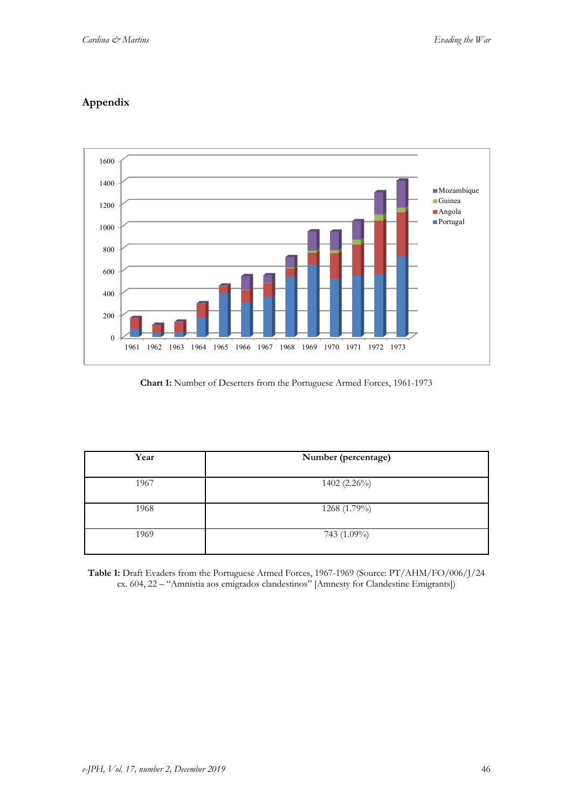# **Appendix**



### **Chart 1:** Number of Deserters from the Portuguese Armed Forces, 1961-1973

| Year | Number (percentage) |
|------|---------------------|
| 1967 | $1402(2.26\%)$      |
| 1968 | 1268 (1.79%)        |
| 1969 | 743 (1.09%)         |

**Table 1:** Draft Evaders from the Portuguese Armed Forces, 1967-1969 (Source: PT/AHM/FO/006/J/24 cx. 604, 22 – "Amnistia aos emigrados clandestinos" [Amnesty for Clandestine Emigrants])